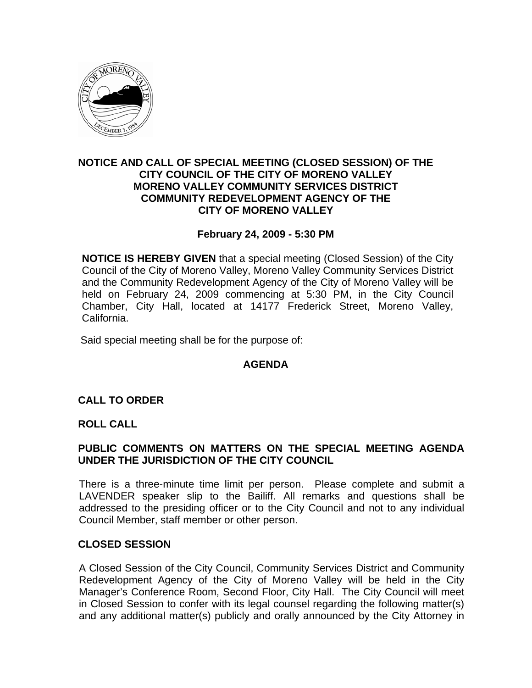

## **NOTICE AND CALL OF SPECIAL MEETING (CLOSED SESSION) OF THE CITY COUNCIL OF THE CITY OF MORENO VALLEY MORENO VALLEY COMMUNITY SERVICES DISTRICT COMMUNITY REDEVELOPMENT AGENCY OF THE CITY OF MORENO VALLEY**

### **February 24, 2009 - 5:30 PM**

**NOTICE IS HEREBY GIVEN** that a special meeting (Closed Session) of the City Council of the City of Moreno Valley, Moreno Valley Community Services District and the Community Redevelopment Agency of the City of Moreno Valley will be held on February 24, 2009 commencing at 5:30 PM, in the City Council Chamber, City Hall, located at 14177 Frederick Street, Moreno Valley, California.

Said special meeting shall be for the purpose of:

## **AGENDA**

## **CALL TO ORDER**

#### **ROLL CALL**

## **PUBLIC COMMENTS ON MATTERS ON THE SPECIAL MEETING AGENDA UNDER THE JURISDICTION OF THE CITY COUNCIL**

There is a three-minute time limit per person. Please complete and submit a LAVENDER speaker slip to the Bailiff. All remarks and questions shall be addressed to the presiding officer or to the City Council and not to any individual Council Member, staff member or other person.

#### **CLOSED SESSION**

A Closed Session of the City Council, Community Services District and Community Redevelopment Agency of the City of Moreno Valley will be held in the City Manager's Conference Room, Second Floor, City Hall. The City Council will meet in Closed Session to confer with its legal counsel regarding the following matter(s) and any additional matter(s) publicly and orally announced by the City Attorney in